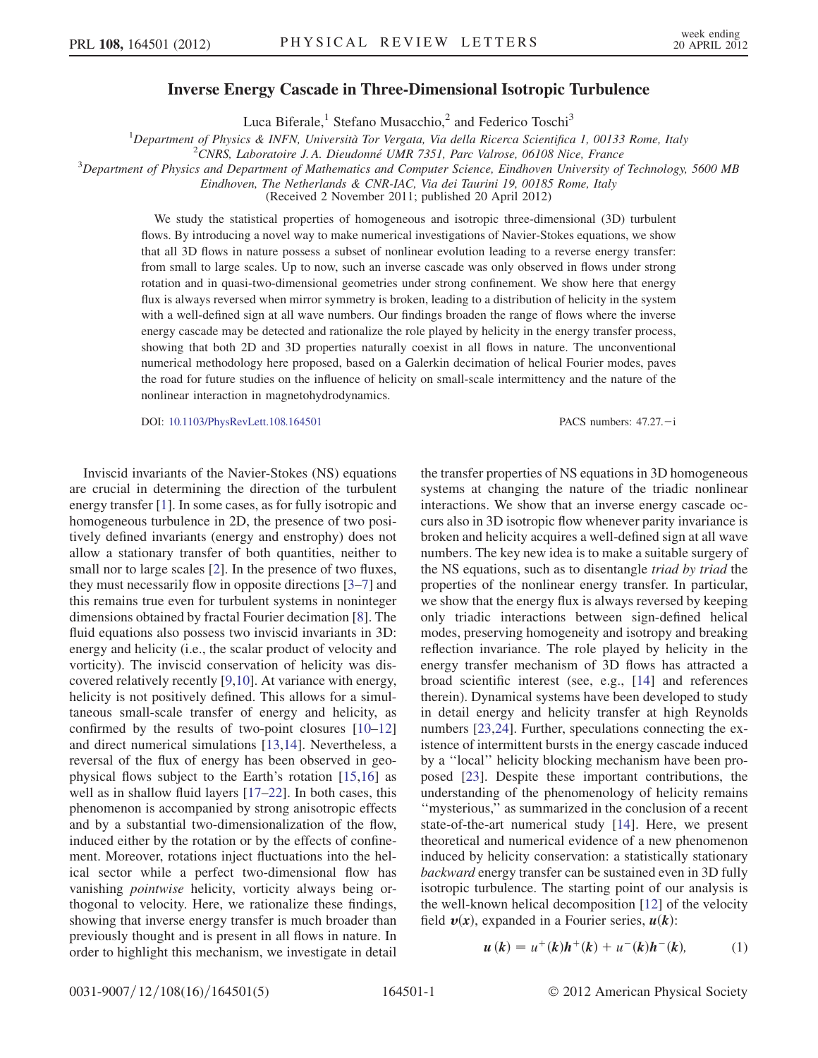## Inverse Energy Cascade in Three-Dimensional Isotropic Turbulence

Luca Biferale,<sup>1</sup> Stefano Musacchio,<sup>2</sup> and Federico Toschi<sup>3</sup>

<sup>1</sup>Department of Physics & INFN, Università Tor Vergata, Via della Ricerca Scientifica 1, 00133 Rome, Italy  $\frac{2CNDS}{I}$ , I aboratoire *I*. A. Dieudonné *UMP* 7351, Parc Valmes, 06108 Nice, France

 $2$ CNRS, Laboratoire J.A. Dieudonné UMR 7351, Parc Valrose, 06108 Nice, France

 $3$ Department of Physics and Department of Mathematics and Computer Science, Eindhoven University of Technology, 5600 MB

Eindhoven, The Netherlands & CNR-IAC, Via dei Taurini 19, 00185 Rome, Italy

(Received 2 November 2011; published 20 April 2012)

We study the statistical properties of homogeneous and isotropic three-dimensional (3D) turbulent flows. By introducing a novel way to make numerical investigations of Navier-Stokes equations, we show that all 3D flows in nature possess a subset of nonlinear evolution leading to a reverse energy transfer: from small to large scales. Up to now, such an inverse cascade was only observed in flows under strong rotation and in quasi-two-dimensional geometries under strong confinement. We show here that energy flux is always reversed when mirror symmetry is broken, leading to a distribution of helicity in the system with a well-defined sign at all wave numbers. Our findings broaden the range of flows where the inverse energy cascade may be detected and rationalize the role played by helicity in the energy transfer process, showing that both 2D and 3D properties naturally coexist in all flows in nature. The unconventional numerical methodology here proposed, based on a Galerkin decimation of helical Fourier modes, paves the road for future studies on the influence of helicity on small-scale intermittency and the nature of the nonlinear interaction in magnetohydrodynamics.

DOI: [10.1103/PhysRevLett.108.164501](http://dx.doi.org/10.1103/PhysRevLett.108.164501) PACS numbers: 47.27. - i

Inviscid invariants of the Navier-Stokes (NS) equations are crucial in determining the direction of the turbulent energy transfer [\[1](#page-3-0)]. In some cases, as for fully isotropic and homogeneous turbulence in 2D, the presence of two positively defined invariants (energy and enstrophy) does not allow a stationary transfer of both quantities, neither to small nor to large scales [[2\]](#page-3-1). In the presence of two fluxes, they must necessarily flow in opposite directions [\[3–](#page-3-2)[7](#page-3-3)] and this remains true even for turbulent systems in noninteger dimensions obtained by fractal Fourier decimation [\[8](#page-3-4)]. The fluid equations also possess two inviscid invariants in 3D: energy and helicity (i.e., the scalar product of velocity and vorticity). The inviscid conservation of helicity was discovered relatively recently [[9,](#page-3-5)[10\]](#page-3-6). At variance with energy, helicity is not positively defined. This allows for a simultaneous small-scale transfer of energy and helicity, as confirmed by the results of two-point closures [\[10–](#page-3-6)[12\]](#page-3-7) and direct numerical simulations [\[13,](#page-3-8)[14\]](#page-3-9). Nevertheless, a reversal of the flux of energy has been observed in geophysical flows subject to the Earth's rotation [[15](#page-3-10),[16](#page-3-11)] as well as in shallow fluid layers [\[17–](#page-3-12)[22](#page-4-0)]. In both cases, this phenomenon is accompanied by strong anisotropic effects and by a substantial two-dimensionalization of the flow, induced either by the rotation or by the effects of confinement. Moreover, rotations inject fluctuations into the helical sector while a perfect two-dimensional flow has vanishing pointwise helicity, vorticity always being orthogonal to velocity. Here, we rationalize these findings, showing that inverse energy transfer is much broader than previously thought and is present in all flows in nature. In order to highlight this mechanism, we investigate in detail the transfer properties of NS equations in 3D homogeneous systems at changing the nature of the triadic nonlinear interactions. We show that an inverse energy cascade occurs also in 3D isotropic flow whenever parity invariance is broken and helicity acquires a well-defined sign at all wave numbers. The key new idea is to make a suitable surgery of the NS equations, such as to disentangle triad by triad the properties of the nonlinear energy transfer. In particular, we show that the energy flux is always reversed by keeping only triadic interactions between sign-defined helical modes, preserving homogeneity and isotropy and breaking reflection invariance. The role played by helicity in the energy transfer mechanism of 3D flows has attracted a broad scientific interest (see, e.g., [[14\]](#page-3-9) and references therein). Dynamical systems have been developed to study in detail energy and helicity transfer at high Reynolds numbers [[23](#page-4-1),[24](#page-4-2)]. Further, speculations connecting the existence of intermittent bursts in the energy cascade induced by a ''local'' helicity blocking mechanism have been proposed [[23](#page-4-1)]. Despite these important contributions, the understanding of the phenomenology of helicity remains ''mysterious,'' as summarized in the conclusion of a recent state-of-the-art numerical study [[14](#page-3-9)]. Here, we present theoretical and numerical evidence of a new phenomenon induced by helicity conservation: a statistically stationary backward energy transfer can be sustained even in 3D fully isotropic turbulence. The starting point of our analysis is the well-known helical decomposition [\[12\]](#page-3-7) of the velocity field  $v(x)$ , expanded in a Fourier series,  $u(k)$ :

$$
u(k) = u^{+}(k)h^{+}(k) + u^{-}(k)h^{-}(k), \qquad (1)
$$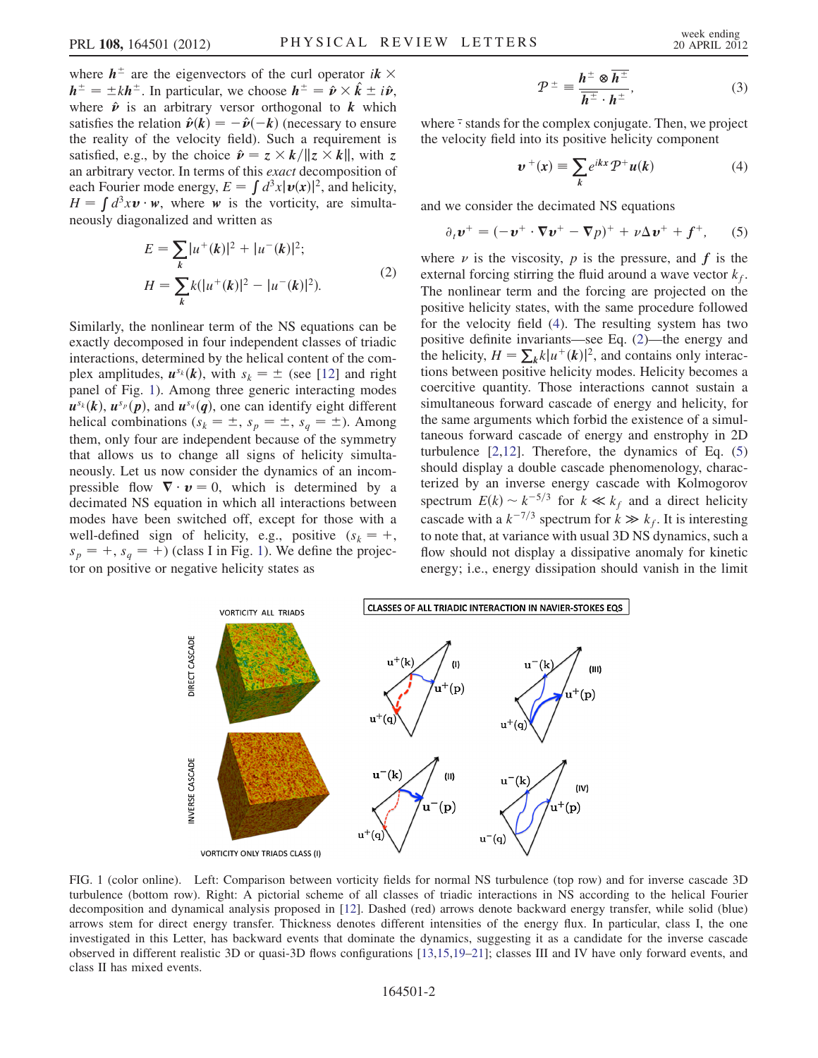where  $h^{\pm}$  are the eigenvectors of the curl operator  $ik \times$  $h^{\pm} = \pm k h^{\pm}$ . In particular, we choose  $h^{\pm} = \hat{p} \times \hat{k} \pm i \hat{p}$ , where  $\hat{\mathbf{v}}$  is an arbitrary versor orthogonal to k which satisfies the relation  $\hat{v}(k) = -\hat{v}(-k)$  (necessary to ensure the reality of the velocity field). Such a requirement is satisfied, e.g., by the choice  $\hat{\mathbf{v}} = z \times k / ||z \times k||$ , with z an arbitrary vector. In terms of this exact decomposition of each Fourier mode energy,  $E = \int d^3x |\boldsymbol{v}(\boldsymbol{x})|^2$ , and helicity,  $H = \int d^3x \mathbf{v} \cdot \mathbf{w}$ , where w is the vorticity, are simultaneously diagonalized and written as

<span id="page-1-2"></span>
$$
E = \sum_{k} |u^{+}(k)|^{2} + |u^{-}(k)|^{2};
$$
  
\n
$$
H = \sum_{k} k(|u^{+}(k)|^{2} - |u^{-}(k)|^{2}).
$$
\n(2)

Similarly, the nonlinear term of the NS equations can be exactly decomposed in four independent classes of triadic interactions, determined by the helical content of the complex amplitudes,  $u^{s_k}(k)$ , with  $s_k = \pm$  (see [\[12\]](#page-3-7) and right panel of Fig. [1\)](#page-1-0). Among three generic interacting modes  $u^{s_k}(k)$ ,  $u^{s_p}(p)$ , and  $u^{s_q}(q)$ , one can identify eight different helical combinations  $(s_k = \pm, s_p = \pm, s_q = \pm)$ . Among them, only four are independent because of the symmetry that allows us to change all signs of helicity simultaneously. Let us now consider the dynamics of an incompressible flow  $\nabla \cdot \mathbf{v} = 0$ , which is determined by a decimated NS equation in which all interactions between modes have been switched off, except for those with a well-defined sign of helicity, e.g., positive  $(s_k = +,$  $s_p = +$ ,  $s_q = +$ ) (class I in Fig. [1\)](#page-1-0). We define the projector on positive or negative helicity states as

$$
\mathcal{P}^{\pm} \equiv \frac{\boldsymbol{h}^{\pm} \otimes \overline{\boldsymbol{h}^{\pm}}}{\overline{\boldsymbol{h}^{\pm}} \cdot \boldsymbol{h}^{\pm}},
$$
(3)

<span id="page-1-1"></span>where  $\bar{\cdot}$  stands for the complex conjugate. Then, we project the velocity field into its positive helicity component

$$
\boldsymbol{v}^+(x) \equiv \sum_k e^{ikx} \mathcal{P}^+ \boldsymbol{u}(k) \tag{4}
$$

<span id="page-1-3"></span>and we consider the decimated NS equations

$$
\partial_t \boldsymbol{v}^+ = (-\boldsymbol{v}^+ \cdot \nabla \boldsymbol{v}^+ - \nabla p)^+ + \nu \Delta \boldsymbol{v}^+ + \boldsymbol{f}^+, \qquad (5)
$$

where  $\nu$  is the viscosity,  $\rho$  is the pressure, and  $f$  is the external forcing stirring the fluid around a wave vector  $k_f$ . The nonlinear term and the forcing are projected on the positive helicity states, with the same procedure followed for the velocity field [\(4](#page-1-1)). The resulting system has two positive definite invariants—see Eq. ([2](#page-1-2))—the energy and the helicity,  $H = \sum_k k |u^+(k)|^2$ , and contains only interactions between positive helicity modes. Helicity becomes a coercitive quantity. Those interactions cannot sustain a simultaneous forward cascade of energy and helicity, for the same arguments which forbid the existence of a simultaneous forward cascade of energy and enstrophy in 2D turbulence  $[2,12]$  $[2,12]$  $[2,12]$ . Therefore, the dynamics of Eq.  $(5)$ should display a double cascade phenomenology, characterized by an inverse energy cascade with Kolmogorov spectrum  $E(k) \sim k^{-5/3}$  for  $k \ll k_f$  and a direct helicity cascade with a  $k^{-7/3}$  spectrum for  $k \gg k_f$ . It is interesting to note that, at variance with usual 3D NS dynamics, such a flow should not display a dissipative anomaly for kinetic energy; i.e., energy dissipation should vanish in the limit

<span id="page-1-0"></span>

FIG. 1 (color online). Left: Comparison between vorticity fields for normal NS turbulence (top row) and for inverse cascade 3D turbulence (bottom row). Right: A pictorial scheme of all classes of triadic interactions in NS according to the helical Fourier decomposition and dynamical analysis proposed in [\[12\]](#page-3-7). Dashed (red) arrows denote backward energy transfer, while solid (blue) arrows stem for direct energy transfer. Thickness denotes different intensities of the energy flux. In particular, class I, the one investigated in this Letter, has backward events that dominate the dynamics, suggesting it as a candidate for the inverse cascade observed in different realistic 3D or quasi-3D flows configurations [\[13,](#page-3-8)[15,](#page-3-10)[19](#page-3-13)[–21\]](#page-4-3); classes III and IV have only forward events, and class II has mixed events.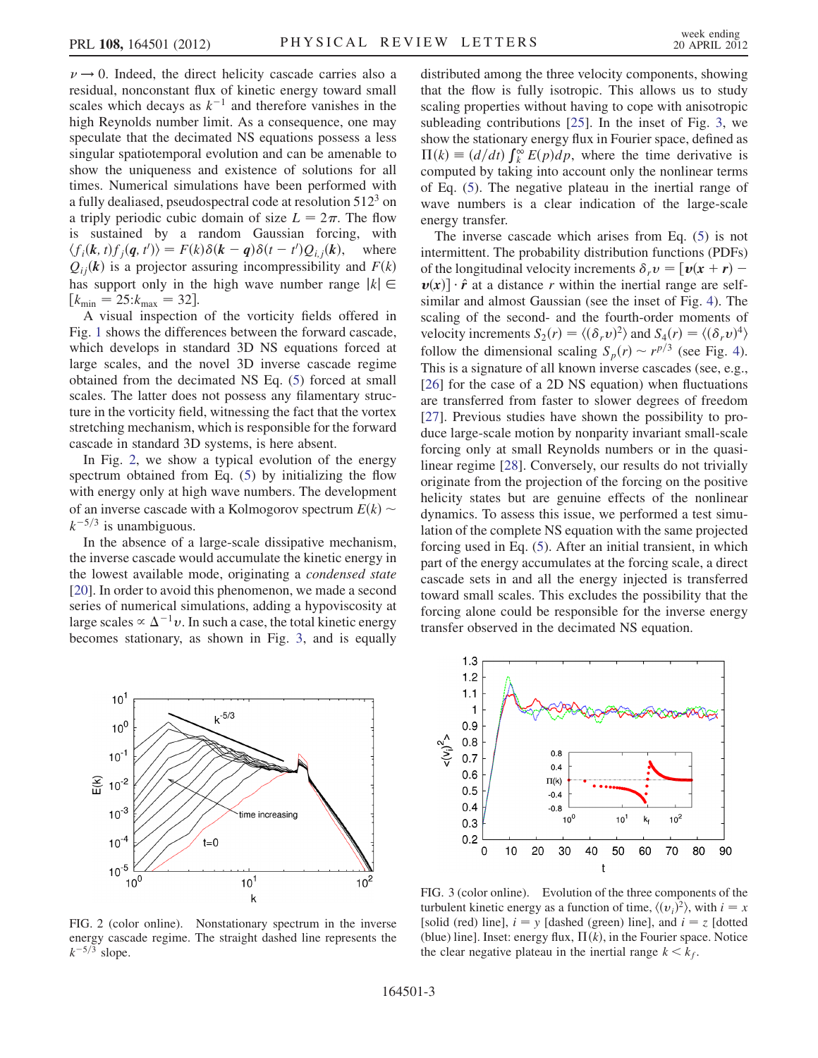$\nu \rightarrow 0$ . Indeed, the direct helicity cascade carries also a residual, nonconstant flux of kinetic energy toward small scales which decays as  $k^{-1}$  and therefore vanishes in the high Reynolds number limit. As a consequence, one may speculate that the decimated NS equations possess a less singular spatiotemporal evolution and can be amenable to show the uniqueness and existence of solutions for all times. Numerical simulations have been performed with a fully dealiased, pseudospectral code at resolution  $512<sup>3</sup>$  on a triply periodic cubic domain of size  $L = 2\pi$ . The flow is sustained by a random Gaussian forcing, with  $\langle f_i(\mathbf{k}, t) f_j(\mathbf{q}, t') \rangle = F(k) \delta(\mathbf{k} - \mathbf{q}) \delta(t - t') Q_{i,j}(\mathbf{k}),$  where  $Q_{ii}$ (k) is a projector assuring incompressibility and  $F(k)$ has support only in the high wave number range  $|k| \in$  $[k_{\min} = 25: k_{\max} = 32].$ 

A visual inspection of the vorticity fields offered in Fig. [1](#page-1-0) shows the differences between the forward cascade, which develops in standard 3D NS equations forced at large scales, and the novel 3D inverse cascade regime obtained from the decimated NS Eq. [\(5\)](#page-1-3) forced at small scales. The latter does not possess any filamentary structure in the vorticity field, witnessing the fact that the vortex stretching mechanism, which is responsible for the forward cascade in standard 3D systems, is here absent.

In Fig. [2,](#page-2-0) we show a typical evolution of the energy spectrum obtained from Eq. ([5](#page-1-3)) by initializing the flow with energy only at high wave numbers. The development of an inverse cascade with a Kolmogorov spectrum  $E(k) \sim$  $k^{-5/3}$  is unambiguous.

In the absence of a large-scale dissipative mechanism, the inverse cascade would accumulate the kinetic energy in the lowest available mode, originating a condensed state [\[20\]](#page-3-14). In order to avoid this phenomenon, we made a second series of numerical simulations, adding a hypoviscosity at large scales  $\propto \Delta^{-1} v$ . In such a case, the total kinetic energy becomes stationary, as shown in Fig. [3,](#page-2-1) and is equally distributed among the three velocity components, showing that the flow is fully isotropic. This allows us to study scaling properties without having to cope with anisotropic subleading contributions [\[25\]](#page-4-4). In the inset of Fig. [3](#page-2-1), we show the stationary energy flux in Fourier space, defined as  $\Pi(k) \equiv (d/dt) \int_{k}^{\infty} E(p) dp$ , where the time derivative is computed by taking into account only the nonlinear terms of Eq. ([5](#page-1-3)). The negative plateau in the inertial range of wave numbers is a clear indication of the large-scale energy transfer.

The inverse cascade which arises from Eq. [\(5](#page-1-3)) is not intermittent. The probability distribution functions (PDFs) of the longitudinal velocity increments  $\delta_r v = [v(x + r) \boldsymbol{v}(x)$   $\cdot \hat{\boldsymbol{r}}$  at a distance r within the inertial range are selfsimilar and almost Gaussian (see the inset of Fig. [4](#page-3-15)). The scaling of the second- and the fourth-order moments of velocity increments  $S_2(r) = \langle (\delta_r v)^2 \rangle$  and  $S_4(r) = \langle (\delta_r v)^4 \rangle$ follow the dimensional scaling  $S_p(r) \sim r^{p/3}$  (see Fig. [4\)](#page-3-15). This is a signature of all known inverse cascades (see, e.g., [\[26\]](#page-4-5) for the case of a 2D NS equation) when fluctuations are transferred from faster to slower degrees of freedom [\[27\]](#page-4-6). Previous studies have shown the possibility to produce large-scale motion by nonparity invariant small-scale forcing only at small Reynolds numbers or in the quasilinear regime [[28](#page-4-7)]. Conversely, our results do not trivially originate from the projection of the forcing on the positive helicity states but are genuine effects of the nonlinear dynamics. To assess this issue, we performed a test simulation of the complete NS equation with the same projected forcing used in Eq. [\(5](#page-1-3)). After an initial transient, in which part of the energy accumulates at the forcing scale, a direct cascade sets in and all the energy injected is transferred toward small scales. This excludes the possibility that the forcing alone could be responsible for the inverse energy transfer observed in the decimated NS equation.

<span id="page-2-0"></span>

FIG. 2 (color online). Nonstationary spectrum in the inverse energy cascade regime. The straight dashed line represents the  $k^{-5/3}$  slope.

<span id="page-2-1"></span>

FIG. 3 (color online). Evolution of the three components of the turbulent kinetic energy as a function of time,  $\langle (v_i)^2 \rangle$ , with  $i = x$ [solid (red) line],  $i = y$  [dashed (green) line], and  $i = z$  [dotted (blue) line]. Inset: energy flux,  $\Pi(k)$ , in the Fourier space. Notice the clear negative plateau in the inertial range  $k < k_f$ .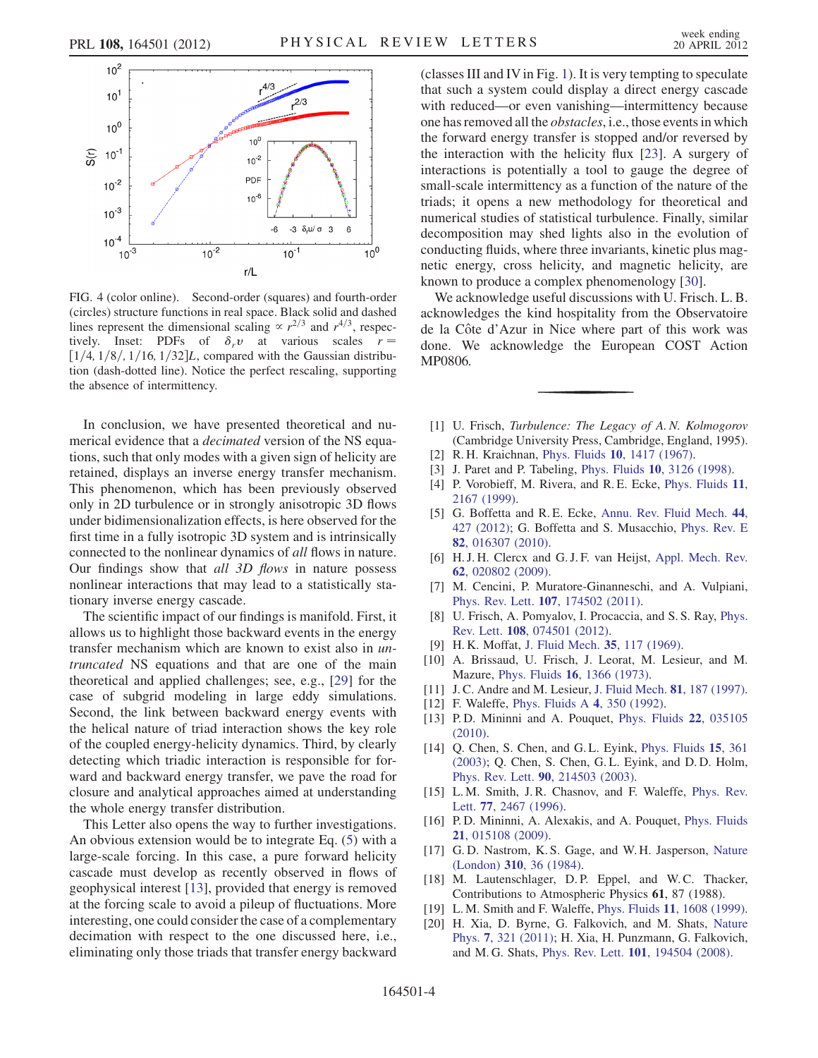<span id="page-3-15"></span>

FIG. 4 (color online). Second-order (squares) and fourth-order (circles) structure functions in real space. Black solid and dashed lines represent the dimensional scaling  $\propto r^{2/3}$  and  $r^{4/3}$ , respectively. Inset: PDFs of  $\delta_r v$  at various scales  $r =$  $[1/4, 1/8, 1/16, 1/32]L$ , compared with the Gaussian distribution (dash-dotted line). Notice the perfect rescaling, supporting the absence of intermittency.

In conclusion, we have presented theoretical and numerical evidence that a *decimated* version of the NS equations, such that only modes with a given sign of helicity are retained, displays an inverse energy transfer mechanism. This phenomenon, which has been previously observed only in 2D turbulence or in strongly anisotropic 3D flows under bidimensionalization effects, is here observed for the first time in a fully isotropic 3D system and is intrinsically connected to the nonlinear dynamics of all flows in nature. Our findings show that all 3D flows in nature possess nonlinear interactions that may lead to a statistically stationary inverse energy cascade.

The scientific impact of our findings is manifold. First, it allows us to highlight those backward events in the energy transfer mechanism which are known to exist also in untruncated NS equations and that are one of the main theoretical and applied challenges; see, e.g., [\[29\]](#page-4-8) for the case of subgrid modeling in large eddy simulations. Second, the link between backward energy events with the helical nature of triad interaction shows the key role of the coupled energy-helicity dynamics. Third, by clearly detecting which triadic interaction is responsible for forward and backward energy transfer, we pave the road for closure and analytical approaches aimed at understanding the whole energy transfer distribution.

This Letter also opens the way to further investigations. An obvious extension would be to integrate Eq. [\(5\)](#page-1-3) with a large-scale forcing. In this case, a pure forward helicity cascade must develop as recently observed in flows of geophysical interest [[13](#page-3-8)], provided that energy is removed at the forcing scale to avoid a pileup of fluctuations. More interesting, one could consider the case of a complementary decimation with respect to the one discussed here, i.e., eliminating only those triads that transfer energy backward (classes III and IVin Fig. [1](#page-1-0)). It is very tempting to speculate that such a system could display a direct energy cascade with reduced—or even vanishing—intermittency because one has removed all the obstacles, i.e., those events in which the forward energy transfer is stopped and/or reversed by the interaction with the helicity flux [[23\]](#page-4-1). A surgery of interactions is potentially a tool to gauge the degree of small-scale intermittency as a function of the nature of the triads; it opens a new methodology for theoretical and numerical studies of statistical turbulence. Finally, similar decomposition may shed lights also in the evolution of conducting fluids, where three invariants, kinetic plus magnetic energy, cross helicity, and magnetic helicity, are known to produce a complex phenomenology [\[30\]](#page-4-9).

We acknowledge useful discussions with U. Frisch. L. B. acknowledges the kind hospitality from the Observatoire de la Côte d'Azur in Nice where part of this work was done. We acknowledge the European COST Action MP0806.

- <span id="page-3-0"></span>[1] U. Frisch, Turbulence: The Legacy of A. N. Kolmogorov (Cambridge University Press, Cambridge, England, 1995).
- <span id="page-3-2"></span><span id="page-3-1"></span>[2] R. H. Kraichnan, Phys. Fluids 10[, 1417 \(1967\).](http://dx.doi.org/10.1063/1.1762301)
- [3] J. Paret and P. Tabeling, Phys. Fluids **10**[, 3126 \(1998\).](http://dx.doi.org/10.1063/1.869840)
- [4] P. Vorobieff, M. Rivera, and R. E. Ecke, [Phys. Fluids](http://dx.doi.org/10.1063/1.870078) 11, [2167 \(1999\)](http://dx.doi.org/10.1063/1.870078).
- [5] G. Boffetta and R.E. Ecke, [Annu. Rev. Fluid Mech.](http://dx.doi.org/10.1146/annurev-fluid-120710-101240) 44, [427 \(2012\);](http://dx.doi.org/10.1146/annurev-fluid-120710-101240) G. Boffetta and S. Musacchio, [Phys. Rev. E](http://dx.doi.org/10.1103/PhysRevE.82.016307) 82[, 016307 \(2010\)](http://dx.doi.org/10.1103/PhysRevE.82.016307).
- [6] H. J. H. Clercx and G. J. F. van Heijst, [Appl. Mech. Rev.](http://dx.doi.org/10.1115/1.3077489) 62[, 020802 \(2009\)](http://dx.doi.org/10.1115/1.3077489).
- <span id="page-3-3"></span>[7] M. Cencini, P. Muratore-Ginanneschi, and A. Vulpiani, Phys. Rev. Lett. 107[, 174502 \(2011\).](http://dx.doi.org/10.1103/PhysRevLett.107.174502)
- <span id="page-3-4"></span>[8] U. Frisch, A. Pomyalov, I. Procaccia, and S. S. Ray, [Phys.](http://dx.doi.org/10.1103/PhysRevLett.108.074501) Rev. Lett. 108[, 074501 \(2012\).](http://dx.doi.org/10.1103/PhysRevLett.108.074501)
- <span id="page-3-6"></span><span id="page-3-5"></span>[9] H. K. Moffat, [J. Fluid Mech.](http://dx.doi.org/10.1017/S0022112069000991) 35, 117 (1969).
- [10] A. Brissaud, U. Frisch, J. Leorat, M. Lesieur, and M. Mazure, Phys. Fluids 16[, 1366 \(1973\).](http://dx.doi.org/10.1063/1.1694520)
- <span id="page-3-7"></span>[11] J. C. Andre and M. Lesieur, [J. Fluid Mech.](http://dx.doi.org/10.1017/S0022112077001979) **81**, 187 (1997).
- <span id="page-3-8"></span>[12] F. Waleffe, [Phys. Fluids A](http://dx.doi.org/10.1063/1.858309) 4, 350 (1992).
- [13] P.D. Mininni and A. Pouquet, [Phys. Fluids](http://dx.doi.org/10.1063/1.3358466) 22, 035105 [\(2010\)](http://dx.doi.org/10.1063/1.3358466).
- <span id="page-3-9"></span>[14] O. Chen, S. Chen, and G. L. Eyink, [Phys. Fluids](http://dx.doi.org/10.1063/1.1533070) 15, 361 [\(2003\)](http://dx.doi.org/10.1063/1.1533070); Q. Chen, S. Chen, G. L. Eyink, and D. D. Holm, Phys. Rev. Lett. 90[, 214503 \(2003\).](http://dx.doi.org/10.1103/PhysRevLett.90.214503)
- <span id="page-3-10"></span>[15] L. M. Smith, J. R. Chasnov, and F. Waleffe, [Phys. Rev.](http://dx.doi.org/10.1103/PhysRevLett.77.2467) Lett. 77[, 2467 \(1996\).](http://dx.doi.org/10.1103/PhysRevLett.77.2467)
- <span id="page-3-11"></span>[16] P.D. Mininni, A. Alexakis, and A. Pouquet, [Phys. Fluids](http://dx.doi.org/10.1063/1.3064122) 21[, 015108 \(2009\)](http://dx.doi.org/10.1063/1.3064122).
- <span id="page-3-12"></span>[17] G. D. Nastrom, K. S. Gage, and W. H. Jasperson, [Nature](http://dx.doi.org/10.1038/310036a0) (London) 310[, 36 \(1984\).](http://dx.doi.org/10.1038/310036a0)
- [18] M. Lautenschlager, D.P. Eppel, and W.C. Thacker, Contributions to Atmospheric Physics 61, 87 (1988).
- <span id="page-3-14"></span><span id="page-3-13"></span>[19] L. M. Smith and F. Waleffe, Phys. Fluids 11[, 1608 \(1999\).](http://dx.doi.org/10.1063/1.870022)
- [20] H. Xia, D. Byrne, G. Falkovich, and M. Shats, [Nature](http://dx.doi.org/10.1038/nphys1910) Phys. 7[, 321 \(2011\)](http://dx.doi.org/10.1038/nphys1910); H. Xia, H. Punzmann, G. Falkovich, and M. G. Shats, Phys. Rev. Lett. 101[, 194504 \(2008\).](http://dx.doi.org/10.1103/PhysRevLett.101.194504)